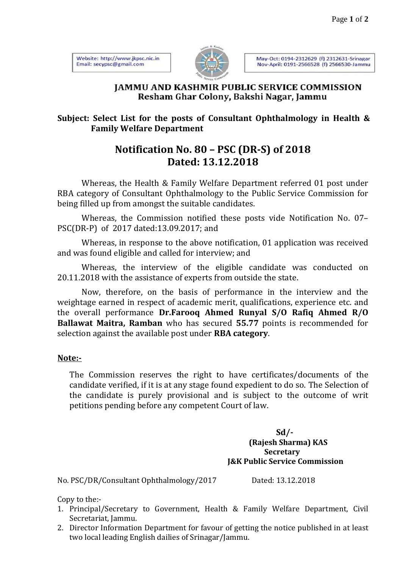Website: http://www.jkpsc.nic.in Email: secypsc@gmail.com



May-Oct: 0194-2312629 (f) 2312631-Srinagar Nov-April: 0191-2566528 (f) 2566530-Jammu

## **IAMMU AND KASHMIR PUBLIC SERVICE COMMISSION** Resham Ghar Colony, Bakshi Nagar, Jammu

## **Subject: Select List for the posts of Consultant Ophthalmology in Health & Family Welfare Department**

## **Notification No. 80 – PSC (DR-S) of 2018 Dated: 13.12.2018**

Whereas, the Health & Family Welfare Department referred 01 post under RBA category of Consultant Ophthalmology to the Public Service Commission for being filled up from amongst the suitable candidates.

Whereas, the Commission notified these posts vide Notification No. 07– PSC(DR-P) of 2017 dated:13.09.2017; and

Whereas, in response to the above notification, 01 application was received and was found eligible and called for interview; and

Whereas, the interview of the eligible candidate was conducted on 20.11.2018 with the assistance of experts from outside the state.

Now, therefore, on the basis of performance in the interview and the weightage earned in respect of academic merit, qualifications, experience etc. and the overall performance **Dr.Farooq Ahmed Runyal S/O Rafiq Ahmed R/O Ballawat Maitra, Ramban** who has secured **55.77** points is recommended for selection against the available post under **RBA category**.

## **Note:-**

The Commission reserves the right to have certificates/documents of the candidate verified, if it is at any stage found expedient to do so. The Selection of the candidate is purely provisional and is subject to the outcome of writ petitions pending before any competent Court of law.

> **Sd/- (Rajesh Sharma) KAS Secretary J&K Public Service Commission**

No. PSC/DR/Consultant Ophthalmology/2017 Dated: 13.12.2018

Copy to the:-

- 1. Principal/Secretary to Government, Health & Family Welfare Department, Civil Secretariat, Jammu.
- 2. Director Information Department for favour of getting the notice published in at least two local leading English dailies of Srinagar/Jammu.